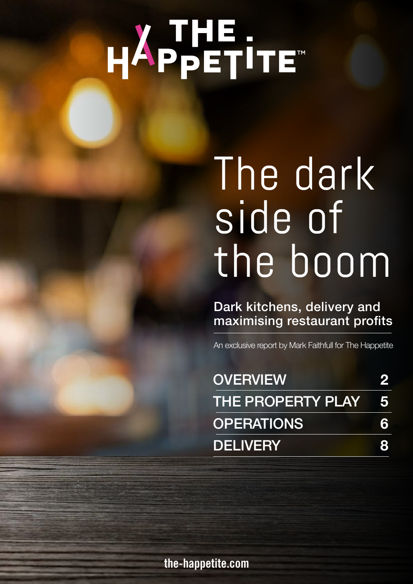# HAPPETITE"

### The dark side of the boom

Dark kitchens, delivery and maximising restaurant profits

An exclusive report by Mark Faithfull for The Happetite

| <b>OVERVIEW</b>     |    |
|---------------------|----|
| THE PROPERTY PLAY 5 |    |
| <b>OPERATIONS</b>   | 6. |
| <b>DELIVERY</b>     |    |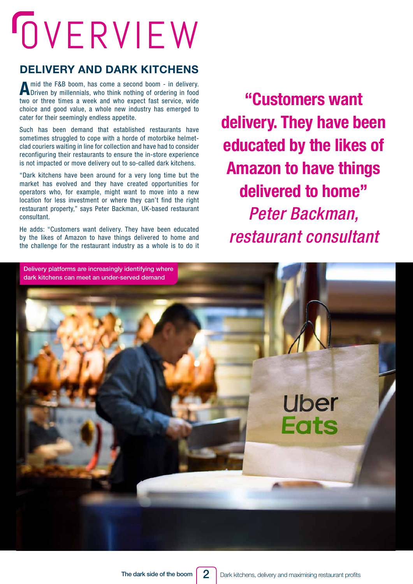## <span id="page-1-0"></span>OVERVIEW

#### **DELIVERY AND DARK KITCHENS**

A mid the F&B boom, has come a second boom - in delivery.<br>
Driven by millennials, who think nothing of ordering in food two or three times a week and who expect fast service, wide choice and good value, a whole new industry has emerged to cater for their seemingly endless appetite.

Such has been demand that established restaurants have sometimes struggled to cope with a horde of motorbike helmetclad couriers waiting in line for collection and have had to consider reconfiguring their restaurants to ensure the in-store experience is not impacted or move delivery out to so-called dark kitchens.

"Dark kitchens have been around for a very long time but the market has evolved and they have created opportunities for operators who, for example, might want to move into a new location for less investment or where they can't find the right restaurant property," says Peter Backman, UK-based restaurant consultant.

He adds: "Customers want delivery. They have been educated by the likes of Amazon to have things delivered to home and the challenge for the restaurant industry as a whole is to do it

**"Customers want delivery. They have been educated by the likes of Amazon to have things delivered to home"** *Peter Backman, restaurant consultant*

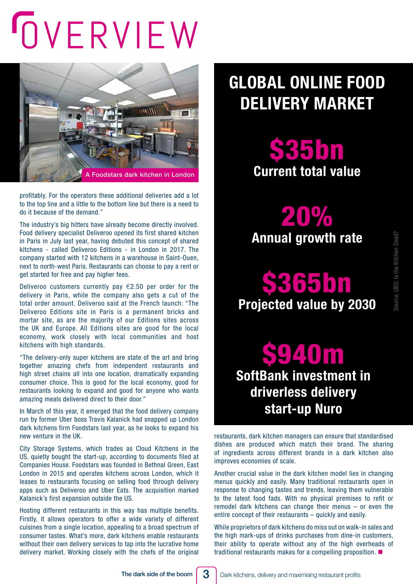## OVERVIEW



profitably. For the operators these additional deliveries add a lot to the top line and a little to the bottom line but there is a need to do it because of the demand."

The industry's big hitters have already become directly involved. Food delivery specialist Deliveroo opened its first shared kitchen in Paris in July last year, having debuted this concept of shared kitchens - called Deliveroo Editions - in London in 2017. The company started with 12 kitchens in a warehouse in Saint-Ouen, next to north-west Paris. Restaurants can choose to pay a rent or get started for free and pay higher fees.

Deliveroo customers currently pay  $\epsilon$ 2.50 per order for the delivery in Paris, while the company also gets a cut of the total order amount. Deliveroo said at the French launch: "The Deliveroo Editions site in Paris is a permanent bricks and mortar site, as are the majority of our Editions sites across the UK and Europe. All Editions sites are good for the local economy, work closely with local communities and host kitchens with high standards.

"The delivery-only super kitchens are state of the art and bring together amazing chefs from independent restaurants and high street chains all into one location, dramatically expanding consumer choice. This is good for the local economy, good for restaurants looking to expand and good for anyone who wants amazing meals delivered direct to their door."

In March of this year, it emerged that the food delivery company run by former Uber boss Travis Kalanick had snapped up London dark kitchens firm Foodstars last year, as he looks to expand his new venture in the UK.

City Storage Systems, which trades as Cloud Kitchens in the US, quietly bought the start-up, according to documents filed at Companies House. Foodstars was founded in Bethnal Green, East London in 2015 and operates kitchens across London, which it leases to restaurants focusing on selling food through delivery apps such as Deliveroo and Uber Eats. The acquisition marked Kalanick's first expansion outside the US.

Hosting different restaurants in this way has multiple benefits. Firstly, it allows operators to offer a wide variety of different cuisines from a single location, appealing to a broad spectrum of consumer tastes. What's more, dark kitchens enable restaurants without their own delivery services to tap into the lucrative home delivery market. Working closely with the chefs of the original

### **GLOBAL ONLINE FOOD DELIVERY MARKET**

**\$35bn Current total value** 

20% **Annual growth rate**

\$365bn **Projected value by 2030**

### \$940m **SoftBank investment in driverless delivery start-up Nuro**

restaurants, dark kitchen managers can ensure that standardised dishes are produced which match their brand. The sharing of ingredients across different brands in a dark kitchen also improves economies of scale.

Another crucial value in the dark kitchen model lies in changing menus quickly and easily. Many traditional restaurants open in response to changing tastes and trends, leaving them vulnerable to the latest food fads. With no physical premises to refit or remodel dark kitchens can change their menus – or even the entire concept of their restaurants – quickly and easily.

While proprietors of dark kitchens do miss out on walk-in sales and the high mark-ups of drinks purchases from dine-in customers, their ability to operate without any of the high overheads of traditional restaurants makes for a compelling proposition.  $\blacksquare$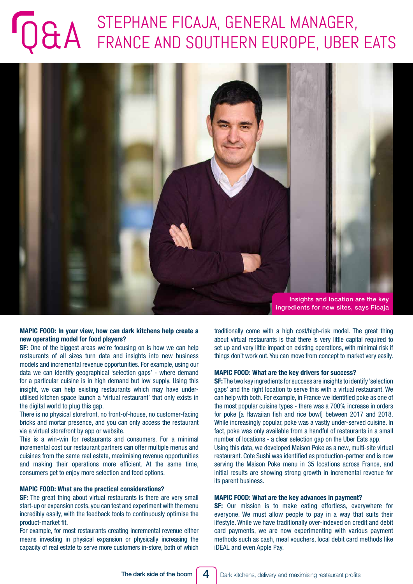### STEPHANE FICAJA, GENERAL MANAGER, STEPHANE FICAJA, GENERAL MANAGER,



#### **MAPIC FOOD: In your view, how can dark kitchens help create a new operating model for food players?**

**SF:** One of the biggest areas we're focusing on is how we can help restaurants of all sizes turn data and insights into new business models and incremental revenue opportunities. For example, using our data we can identify geographical 'selection gaps' - where demand for a particular cuisine is in high demand but low supply. Using this insight, we can help existing restaurants which may have underutilised kitchen space launch a 'virtual restaurant' that only exists in the digital world to plug this gap.

There is no physical storefront, no front-of-house, no customer-facing bricks and mortar presence, and you can only access the restaurant via a virtual storefront by app or website.

This is a win-win for restaurants and consumers. For a minimal incremental cost our restaurant partners can offer multiple menus and cuisines from the same real estate, maximising revenue opportunities and making their operations more efficient. At the same time, consumers get to enjoy more selection and food options.

#### **MAPIC FOOD: What are the practical considerations?**

**SF:** The great thing about virtual restaurants is there are very small start-up or expansion costs, you can test and experiment with the menu incredibly easily, with the feedback tools to continuously optimise the product-market fit.

For example, for most restaurants creating incremental revenue either means investing in physical expansion or physically increasing the capacity of real estate to serve more customers in-store, both of which traditionally come with a high cost/high-risk model. The great thing about virtual restaurants is that there is very little capital required to set up and very little impact on existing operations, with minimal risk if things don't work out. You can move from concept to market very easily.

#### **MAPIC FOOD: What are the key drivers for success?**

**SF:** The two key ingredients for success are insights to identify 'selection gaps' and the right location to serve this with a virtual restaurant. We can help with both. For example, in France we identified poke as one of the most popular cuisine types - there was a 700% increase in orders for poke [a Hawaiian fish and rice bowl] between 2017 and 2018. While increasingly popular, poke was a vastly under-served cuisine. In fact, poke was only available from a handful of restaurants in a small number of locations - a clear selection gap on the Uber Eats app.

Using this data, we developed Maison Poke as a new, multi-site virtual restaurant. Cote Sushi was identified as production-partner and is now serving the Maison Poke menu in 35 locations across France, and initial results are showing strong growth in incremental revenue for its parent business.

#### **MAPIC FOOD: What are the key advances in payment?**

**SF:** Our mission is to make eating effortless, everywhere for everyone. We must allow people to pay in a way that suits their lifestyle. While we have traditionally over-indexed on credit and debit card payments, we are now experimenting with various payment methods such as cash, meal vouchers, local debit card methods like iDEAL and even Apple Pay.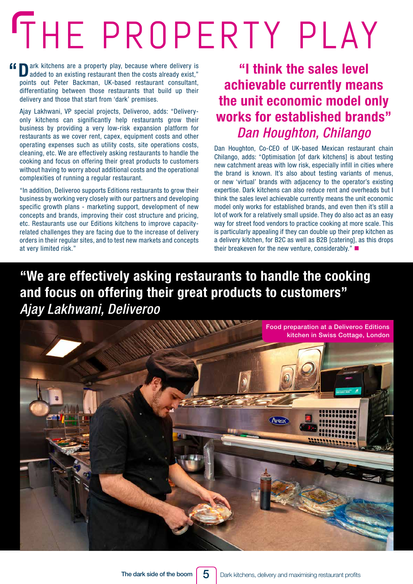## <span id="page-4-0"></span>THE PROPERTY PLAY

**f D**ark kitchens are a property play, because where delivery is added to an existing restaurant then the costs already exist," points out Peter Backman, UK-based restaurant consultant, differentiating between those restaurants that build up their delivery and those that start from 'dark' premises.

Ajay Lakhwani, VP special projects, Deliveroo, adds: "Deliveryonly kitchens can significantly help restaurants grow their business by providing a very low-risk expansion platform for restaurants as we cover rent, capex, equipment costs and other operating expenses such as utility costs, site operations costs, cleaning, etc. We are effectively asking restaurants to handle the cooking and focus on offering their great products to customers without having to worry about additional costs and the operational complexities of running a regular restaurant.

"In addition, Deliveroo supports Editions restaurants to grow their business by working very closely with our partners and developing specific growth plans - marketing support, development of new concepts and brands, improving their cost structure and pricing, etc. Restaurants use our Editions kitchens to improve capacityrelated challenges they are facing due to the increase of delivery orders in their regular sites, and to test new markets and concepts at very limited risk."

### **"I think the sales level achievable currently means the unit economic model only works for established brands"** *Dan Houghton, Chilango*

Dan Houghton, Co-CEO of UK-based Mexican restaurant chain Chilango, adds: "Optimisation [of dark kitchens] is about testing new catchment areas with low risk, especially infill in cities where the brand is known. It's also about testing variants of menus, or new 'virtual' brands with adjacency to the operator's existing expertise. Dark kitchens can also reduce rent and overheads but I think the sales level achievable currently means the unit economic model only works for established brands, and even then it's still a lot of work for a relatively small upside. They do also act as an easy way for street food vendors to practice cooking at more scale. This is particularly appealing if they can double up their prep kitchen as a delivery kitchen, for B2C as well as B2B [catering], as this drops their breakeven for the new venture, considerably." $\blacksquare$ 

### **"We are effectively asking restaurants to handle the cooking and focus on offering their great products to customers"** *Ajay Lakhwani, Deliveroo*

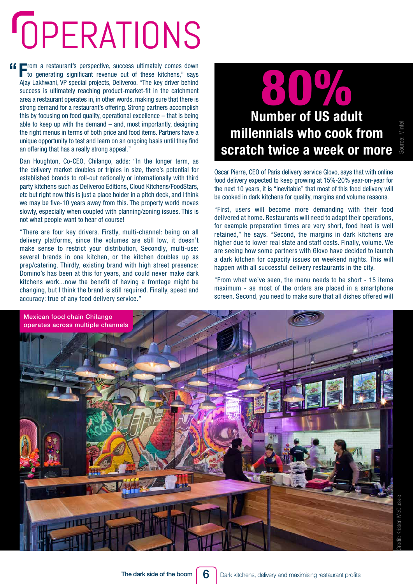## <span id="page-5-0"></span>**OPERATIONS**

**ff From a restaurant's perspective, success ultimately comes down to generating significant revenue out of these kitchens," says** Ajay Lakhwani, VP special projects, Deliveroo. "The key driver behind success is ultimately reaching product-market-fit in the catchment area a restaurant operates in, in other words, making sure that there is strong demand for a restaurant's offering. Strong partners accomplish this by focusing on food quality, operational excellence – that is being able to keep up with the demand  $-$  and, most importantly, designing the right menus in terms of both price and food items. Partners have a unique opportunity to test and learn on an ongoing basis until they find an offering that has a really strong appeal."

Dan Houghton, Co-CEO, Chilango, adds: "In the longer term, as the delivery market doubles or triples in size, there's potential for established brands to roll-out nationally or internationally with third party kitchens such as Deliveroo Editions, Cloud Kitchens/FoodStars, etc but right now this is just a place holder in a pitch deck, and I think we may be five-10 years away from this. The property world moves slowly, especially when coupled with planning/zoning issues. This is not what people want to hear of course!

"There are four key drivers. Firstly, multi-channel: being on all delivery platforms, since the volumes are still low, it doesn't make sense to restrict your distribution, Secondly, multi-use: several brands in one kitchen, or the kitchen doubles up as prep/catering. Thirdly, existing brand with high street presence: Domino's has been at this for years, and could never make dark kitchens work...now the benefit of having a frontage might be changing, but I think the brand is still required. Finally, speed and accuracy: true of any food delivery service."

### **Number of US adult**  80% **millennials who cook from scratch twice a week or more**

Source: Mintel

Oscar Pierre, CEO of Paris delivery service Glovo, says that with online food delivery expected to keep growing at 15%-20% year-on-year for the next 10 years, it is "inevitable" that most of this food delivery will be cooked in dark kitchens for quality, margins and volume reasons.

"First, users will become more demanding with their food delivered at home. Restaurants will need to adapt their operations, for example preparation times are very short, food heat is well retained," he says. "Second, the margins in dark kitchens are higher due to lower real state and staff costs. Finally, volume. We are seeing how some partners with Glovo have decided to launch a dark kitchen for capacity issues on weekend nights. This will happen with all successful delivery restaurants in the city.

"From what we've seen, the menu needs to be short - 15 items maximum - as most of the orders are placed in a smartphone screen. Second, you need to make sure that all dishes offered will



6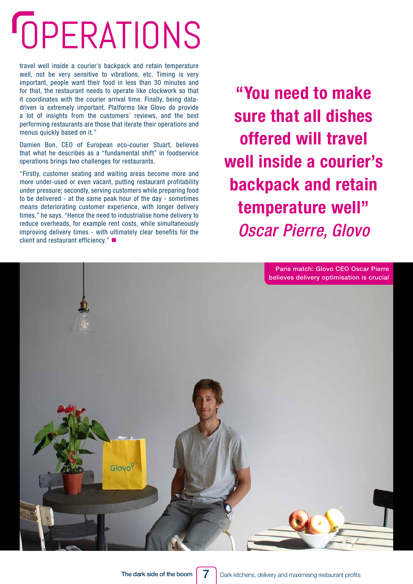### **GPERATIONS**

travel well inside a courier's backpack and retain temperature well, not be very sensitive to vibrations, etc. Timing is very important, people want their food in less than 30 minutes and for that, the restaurant needs to operate like clockwork so that it coordinates with the courier arrival time. Finally, being datadriven is extremely important. Platforms like Glovo do provide a lot of insights from the customers' reviews, and the best performing restaurants are those that iterate their operations and menus quickly based on it."

Damien Bon, CEO of European eco-courier Stuart, believes that what he describes as a "fundamental shift" in foodservice operations brings two challenges for restaurants.

"Firstly, customer seating and waiting areas become more and more under-used or even vacant, putting restaurant profitability under pressure; secondly, serving customers while preparing food to be delivered - at the same peak hour of the day - sometimes means deteriorating customer experience, with longer delivery times," he says. "Hence the need to industrialise home delivery to reduce overheads, for example rent costs, while simultaneously improving delivery times - with ultimately clear benefits for the client and restaurant efficiency." $\blacksquare$ 

**"You need to make sure that all dishes offered will travel well inside a courier's backpack and retain temperature well"** *Oscar Pierre, Glovo*

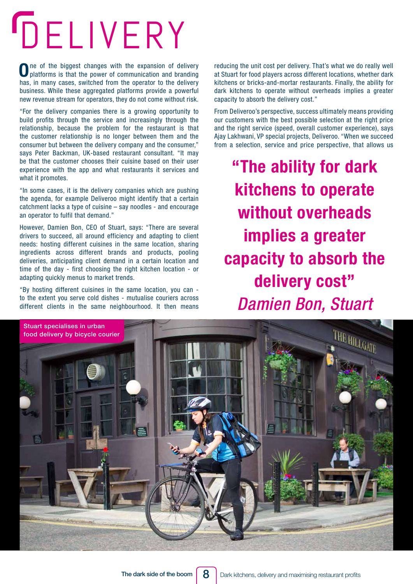## <span id="page-7-0"></span>DELIVERY

One of the biggest changes with the expansion of delivery platforms is that the power of communication and branding has, in many cases, switched from the operator to the delivery business. While these aggregated platforms provide a powerful new revenue stream for operators, they do not come without risk.

"For the delivery companies there is a growing opportunity to build profits through the service and increasingly through the relationship, because the problem for the restaurant is that the customer relationship is no longer between them and the consumer but between the delivery company and the consumer," says Peter Backman, UK-based restaurant consultant. "It may be that the customer chooses their cuisine based on their user experience with the app and what restaurants it services and what it promotes.

"In some cases, it is the delivery companies which are pushing the agenda, for example Deliveroo might identify that a certain catchment lacks a type of cuisine – say noodles - and encourage an operator to fulfil that demand."

However, Damien Bon, CEO of Stuart, says: "There are several drivers to succeed, all around efficiency and adapting to client needs: hosting different cuisines in the same location, sharing ingredients across different brands and products, pooling deliveries, anticipating client demand in a certain location and time of the day - first choosing the right kitchen location - or adapting quickly menus to market trends.

"By hosting different cuisines in the same location, you can to the extent you serve cold dishes - mutualise couriers across different clients in the same neighbourhood. It then means

reducing the unit cost per delivery. That's what we do really well at Stuart for food players across different locations, whether dark kitchens or bricks-and-mortar restaurants. Finally, the ability for dark kitchens to operate without overheads implies a greater capacity to absorb the delivery cost."

From Deliveroo's perspective, success ultimately means providing our customers with the best possible selection at the right price and the right service (speed, overall customer experience), says Ajay Lakhwani, VP special projects, Deliveroo. "When we succeed from a selection, service and price perspective, that allows us

**"The ability for dark kitchens to operate without overheads implies a greater capacity to absorb the delivery cost"** *Damien Bon, Stuart*